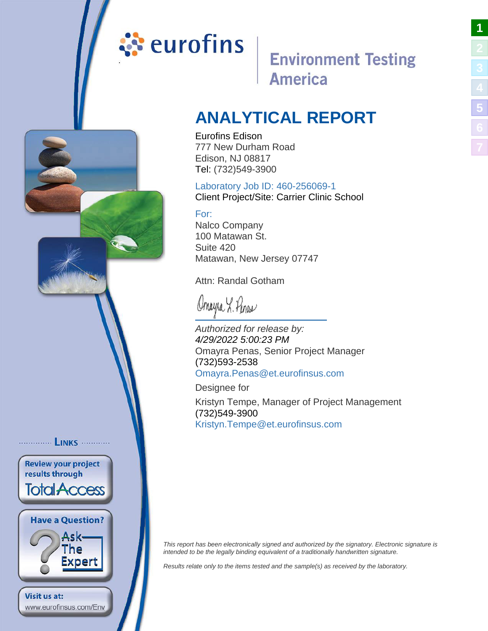# <span id="page-0-0"></span>ं eurofins

# **Environment Testing America**

# **ANALYTICAL REPORT**

Eurofins Edison 777 New Durham Road Edison, NJ 08817 Tel: (732)549-3900

### Laboratory Job ID: 460-256069-1

Client Project/Site: Carrier Clinic School

### For:

Nalco Company 100 Matawan St. Suite 420 Matawan, New Jersey 07747

Attn: Randal Gotham

Omeyra L. Penas

Authorized for release by: 4/29/2022 5:00:23 PM Omayra Penas, Senior Project Manager (732)593-2538 [Omayra.Penas@et.eurofinsu](mailto:Omayra.Penas@et.eurofinsus.com)s.com

Designee for

............... LINKS ............

**Review your project** results through

**Total Access** 

**Have a Question?** 

www.eurofinsus.com/Env

Visit us at:

Ask-The Expert Kristyn Tempe, Manager of Project Management (732)549-3900 [Kristyn.Tempe@et.eurofinsus](mailto:Kristyn.Tempe@et.eurofinsus.com).com

This report has been electronically signed and authorized by the signatory. Electronic signature is intended to be the legally binding equivalent of a traditionally handwritten signature.

Results relate only to the items tested and the sample(s) as received by the laboratory.

**[1](#page-0-0)**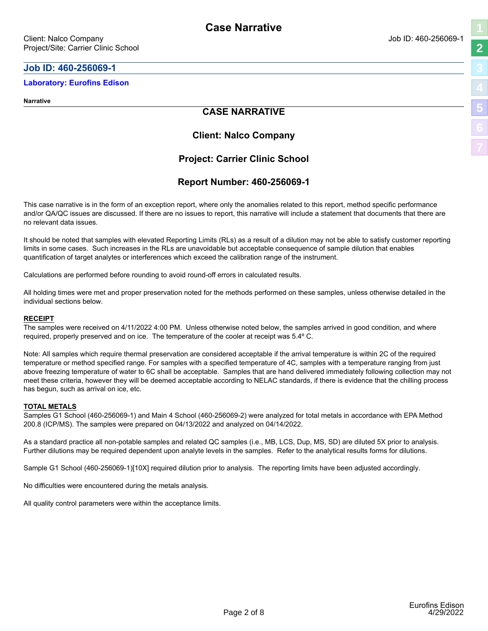#### <span id="page-1-0"></span>**Job ID: 460-256069-1**

#### **Laboratory: Eurofins Edison**

**Narrative**

#### **CASE NARRATIVE**

#### **Client: Nalco Company**

#### **Project: Carrier Clinic School**

#### **Report Number: 460-256069-1**

This case narrative is in the form of an exception report, where only the anomalies related to this report, method specific performance and/or QA/QC issues are discussed. If there are no issues to report, this narrative will include a statement that documents that there are no relevant data issues.

It should be noted that samples with elevated Reporting Limits (RLs) as a result of a dilution may not be able to satisfy customer reporting limits in some cases. Such increases in the RLs are unavoidable but acceptable consequence of sample dilution that enables quantification of target analytes or interferences which exceed the calibration range of the instrument.

Calculations are performed before rounding to avoid round-off errors in calculated results.

All holding times were met and proper preservation noted for the methods performed on these samples, unless otherwise detailed in the individual sections below.

#### **RECEIPT**

The samples were received on 4/11/2022 4:00 PM. Unless otherwise noted below, the samples arrived in good condition, and where required, properly preserved and on ice. The temperature of the cooler at receipt was 5.4º C.

Note: All samples which require thermal preservation are considered acceptable if the arrival temperature is within 2C of the required temperature or method specified range. For samples with a specified temperature of 4C, samples with a temperature ranging from just above freezing temperature of water to 6C shall be acceptable. Samples that are hand delivered immediately following collection may not meet these criteria, however they will be deemed acceptable according to NELAC standards, if there is evidence that the chilling process has begun, such as arrival on ice, etc.

#### **TOTAL METALS**

Samples G1 School (460-256069-1) and Main 4 School (460-256069-2) were analyzed for total metals in accordance with EPA Method 200.8 (ICP/MS). The samples were prepared on 04/13/2022 and analyzed on 04/14/2022.

As a standard practice all non-potable samples and related QC samples (i.e., MB, LCS, Dup, MS, SD) are diluted 5X prior to analysis. Further dilutions may be required dependent upon analyte levels in the samples. Refer to the analytical results forms for dilutions.

Sample G1 School (460-256069-1)[10X] required dilution prior to analysis. The reporting limits have been adjusted accordingly.

No difficulties were encountered during the metals analysis.

All quality control parameters were within the acceptance limits.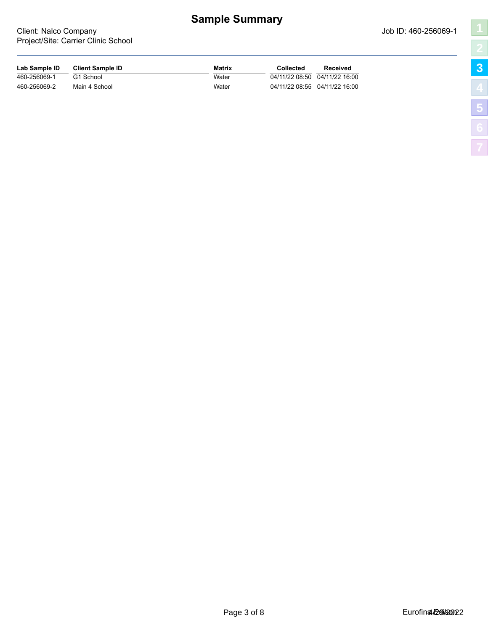# **Sample Summary**

| г<br>١                                                                                                                |
|-----------------------------------------------------------------------------------------------------------------------|
|                                                                                                                       |
|                                                                                                                       |
|                                                                                                                       |
| <b>Contract Contract Contract Contract Contract Contract Contract Contract Contract Contract Contract Contract Co</b> |
|                                                                                                                       |
|                                                                                                                       |
|                                                                                                                       |

<span id="page-2-0"></span>

| Lab Sample ID | <b>Client Sample ID</b> | <b>Matrix</b> | Collected | Received                      |
|---------------|-------------------------|---------------|-----------|-------------------------------|
| 460-256069-1  | G1 School               | Water         |           | 04/11/22 08:50 04/11/22 16:00 |
| 460-256069-2  | Main 4 School           | Water         |           | 04/11/22 08:55 04/11/22 16:00 |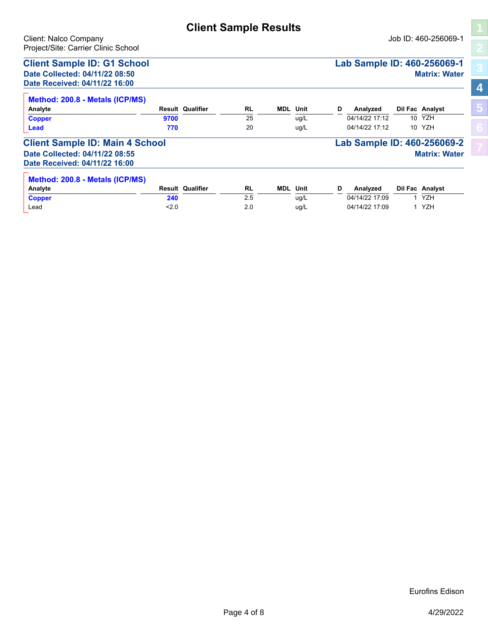## **Client Sample Results**

<span id="page-3-0"></span>Client: Nalco Company Job ID: 460-256069-1

**[4](#page-3-0)**

**[5](#page-4-0)**

| Project/Site: Carrier Clinic School    |      |                         |           |            |      |   |                             |                 |                      |
|----------------------------------------|------|-------------------------|-----------|------------|------|---|-----------------------------|-----------------|----------------------|
| <b>Client Sample ID: G1 School</b>     |      |                         |           |            |      |   | Lab Sample ID: 460-256069-1 |                 |                      |
| Date Collected: 04/11/22 08:50         |      |                         |           |            |      |   |                             |                 | <b>Matrix: Water</b> |
| Date Received: 04/11/22 16:00          |      |                         |           |            |      |   |                             |                 |                      |
| Method: 200.8 - Metals (ICP/MS)        |      |                         |           |            |      |   |                             |                 |                      |
| Analyte                                |      | <b>Result Qualifier</b> | <b>RL</b> | <b>MDL</b> | Unit | D | Analyzed                    |                 | Dil Fac Analyst      |
| <b>Copper</b>                          | 9700 |                         | 25        |            | uq/L |   | 04/14/22 17:12              |                 | 10 YZH               |
| <b>Lead</b>                            | 770  |                         | 20        |            | uq/L |   | 04/14/22 17:12              | 10 <sup>1</sup> | YZH                  |
| <b>Client Sample ID: Main 4 School</b> |      |                         |           |            |      |   | Lab Sample ID: 460-256069-2 |                 |                      |
| Date Collected: 04/11/22 08:55         |      |                         |           |            |      |   |                             |                 | <b>Matrix: Water</b> |
| Date Received: 04/11/22 16:00          |      |                         |           |            |      |   |                             |                 |                      |
| Method: 200.8 - Metals (ICP/MS)        |      |                         |           |            |      |   |                             |                 |                      |
| Analyte                                |      | <b>Result Qualifier</b> | <b>RL</b> | <b>MDL</b> | Unit | D | Analyzed                    |                 | Dil Fac Analyst      |
| <b>Copper</b>                          | 240  |                         | 2.5       |            | uq/L |   | 04/14/22 17:09              |                 | <b>YZH</b>           |

Lead **2.0** <2.0 2.0 ug/L 04/14/22 17:09 1 YZH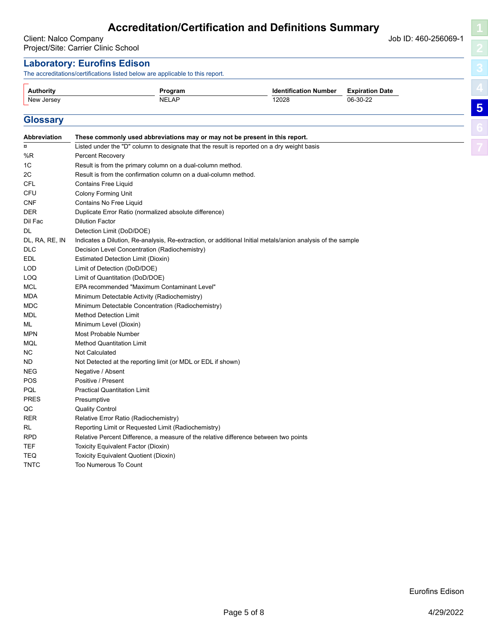#### <span id="page-4-0"></span>**Laboratory: Eurofins Edison**

The accreditations/certifications listed below are applicable to this report.

| Authority  | Program.     | <b>Identification Number</b> | <b>Expiration Date</b> |
|------------|--------------|------------------------------|------------------------|
| New Jersey | <b>NELAP</b> | 12028<br>$\sim$ $\sim$       | 06-30-22               |
|            |              |                              |                        |

#### **Glossary**

| Listed under the "D" column to designate that the result is reported on a dry weight basis<br>$\overline{\mathbf{a}}$<br>%R<br>Percent Recovery<br>1C<br>Result is from the primary column on a dual-column method.<br>2C<br>Result is from the confirmation column on a dual-column method.<br><b>CFL</b><br><b>Contains Free Liquid</b><br>CFU<br><b>Colony Forming Unit</b><br><b>CNF</b><br>Contains No Free Liquid<br><b>DER</b><br>Duplicate Error Ratio (normalized absolute difference)<br>Dil Fac<br><b>Dilution Factor</b><br>DL<br>Detection Limit (DoD/DOE)<br>DL, RA, RE, IN<br>Indicates a Dilution, Re-analysis, Re-extraction, or additional Initial metals/anion analysis of the sample<br><b>DLC</b><br>Decision Level Concentration (Radiochemistry)<br><b>EDL</b><br><b>Estimated Detection Limit (Dioxin)</b><br><b>LOD</b><br>Limit of Detection (DoD/DOE)<br>LOQ<br>Limit of Quantitation (DoD/DOE)<br>EPA recommended "Maximum Contaminant Level"<br><b>MCL</b><br><b>MDA</b><br>Minimum Detectable Activity (Radiochemistry)<br><b>MDC</b><br>Minimum Detectable Concentration (Radiochemistry)<br><b>MDL</b><br><b>Method Detection Limit</b><br>ML<br>Minimum Level (Dioxin)<br><b>MPN</b><br>Most Probable Number<br>MQL<br><b>Method Quantitation Limit</b><br>NC<br><b>Not Calculated</b><br>ND.<br>Not Detected at the reporting limit (or MDL or EDL if shown)<br><b>NEG</b><br>Negative / Absent<br>POS<br>Positive / Present<br>PQL<br><b>Practical Quantitation Limit</b><br><b>PRES</b><br>Presumptive<br>QC<br><b>Quality Control</b><br>RER<br>Relative Error Ratio (Radiochemistry)<br>RL<br>Reporting Limit or Requested Limit (Radiochemistry)<br><b>RPD</b><br>Relative Percent Difference, a measure of the relative difference between two points<br><b>TEF</b><br>Toxicity Equivalent Factor (Dioxin)<br><b>TEQ</b><br>Toxicity Equivalent Quotient (Dioxin)<br><b>TNTC</b><br><b>Too Numerous To Count</b> | <b>Abbreviation</b> | These commonly used abbreviations may or may not be present in this report. |
|----------------------------------------------------------------------------------------------------------------------------------------------------------------------------------------------------------------------------------------------------------------------------------------------------------------------------------------------------------------------------------------------------------------------------------------------------------------------------------------------------------------------------------------------------------------------------------------------------------------------------------------------------------------------------------------------------------------------------------------------------------------------------------------------------------------------------------------------------------------------------------------------------------------------------------------------------------------------------------------------------------------------------------------------------------------------------------------------------------------------------------------------------------------------------------------------------------------------------------------------------------------------------------------------------------------------------------------------------------------------------------------------------------------------------------------------------------------------------------------------------------------------------------------------------------------------------------------------------------------------------------------------------------------------------------------------------------------------------------------------------------------------------------------------------------------------------------------------------------------------------------------------------------------------------------------------------------|---------------------|-----------------------------------------------------------------------------|
|                                                                                                                                                                                                                                                                                                                                                                                                                                                                                                                                                                                                                                                                                                                                                                                                                                                                                                                                                                                                                                                                                                                                                                                                                                                                                                                                                                                                                                                                                                                                                                                                                                                                                                                                                                                                                                                                                                                                                          |                     |                                                                             |
|                                                                                                                                                                                                                                                                                                                                                                                                                                                                                                                                                                                                                                                                                                                                                                                                                                                                                                                                                                                                                                                                                                                                                                                                                                                                                                                                                                                                                                                                                                                                                                                                                                                                                                                                                                                                                                                                                                                                                          |                     |                                                                             |
|                                                                                                                                                                                                                                                                                                                                                                                                                                                                                                                                                                                                                                                                                                                                                                                                                                                                                                                                                                                                                                                                                                                                                                                                                                                                                                                                                                                                                                                                                                                                                                                                                                                                                                                                                                                                                                                                                                                                                          |                     |                                                                             |
|                                                                                                                                                                                                                                                                                                                                                                                                                                                                                                                                                                                                                                                                                                                                                                                                                                                                                                                                                                                                                                                                                                                                                                                                                                                                                                                                                                                                                                                                                                                                                                                                                                                                                                                                                                                                                                                                                                                                                          |                     |                                                                             |
|                                                                                                                                                                                                                                                                                                                                                                                                                                                                                                                                                                                                                                                                                                                                                                                                                                                                                                                                                                                                                                                                                                                                                                                                                                                                                                                                                                                                                                                                                                                                                                                                                                                                                                                                                                                                                                                                                                                                                          |                     |                                                                             |
|                                                                                                                                                                                                                                                                                                                                                                                                                                                                                                                                                                                                                                                                                                                                                                                                                                                                                                                                                                                                                                                                                                                                                                                                                                                                                                                                                                                                                                                                                                                                                                                                                                                                                                                                                                                                                                                                                                                                                          |                     |                                                                             |
|                                                                                                                                                                                                                                                                                                                                                                                                                                                                                                                                                                                                                                                                                                                                                                                                                                                                                                                                                                                                                                                                                                                                                                                                                                                                                                                                                                                                                                                                                                                                                                                                                                                                                                                                                                                                                                                                                                                                                          |                     |                                                                             |
|                                                                                                                                                                                                                                                                                                                                                                                                                                                                                                                                                                                                                                                                                                                                                                                                                                                                                                                                                                                                                                                                                                                                                                                                                                                                                                                                                                                                                                                                                                                                                                                                                                                                                                                                                                                                                                                                                                                                                          |                     |                                                                             |
|                                                                                                                                                                                                                                                                                                                                                                                                                                                                                                                                                                                                                                                                                                                                                                                                                                                                                                                                                                                                                                                                                                                                                                                                                                                                                                                                                                                                                                                                                                                                                                                                                                                                                                                                                                                                                                                                                                                                                          |                     |                                                                             |
|                                                                                                                                                                                                                                                                                                                                                                                                                                                                                                                                                                                                                                                                                                                                                                                                                                                                                                                                                                                                                                                                                                                                                                                                                                                                                                                                                                                                                                                                                                                                                                                                                                                                                                                                                                                                                                                                                                                                                          |                     |                                                                             |
|                                                                                                                                                                                                                                                                                                                                                                                                                                                                                                                                                                                                                                                                                                                                                                                                                                                                                                                                                                                                                                                                                                                                                                                                                                                                                                                                                                                                                                                                                                                                                                                                                                                                                                                                                                                                                                                                                                                                                          |                     |                                                                             |
|                                                                                                                                                                                                                                                                                                                                                                                                                                                                                                                                                                                                                                                                                                                                                                                                                                                                                                                                                                                                                                                                                                                                                                                                                                                                                                                                                                                                                                                                                                                                                                                                                                                                                                                                                                                                                                                                                                                                                          |                     |                                                                             |
|                                                                                                                                                                                                                                                                                                                                                                                                                                                                                                                                                                                                                                                                                                                                                                                                                                                                                                                                                                                                                                                                                                                                                                                                                                                                                                                                                                                                                                                                                                                                                                                                                                                                                                                                                                                                                                                                                                                                                          |                     |                                                                             |
|                                                                                                                                                                                                                                                                                                                                                                                                                                                                                                                                                                                                                                                                                                                                                                                                                                                                                                                                                                                                                                                                                                                                                                                                                                                                                                                                                                                                                                                                                                                                                                                                                                                                                                                                                                                                                                                                                                                                                          |                     |                                                                             |
|                                                                                                                                                                                                                                                                                                                                                                                                                                                                                                                                                                                                                                                                                                                                                                                                                                                                                                                                                                                                                                                                                                                                                                                                                                                                                                                                                                                                                                                                                                                                                                                                                                                                                                                                                                                                                                                                                                                                                          |                     |                                                                             |
|                                                                                                                                                                                                                                                                                                                                                                                                                                                                                                                                                                                                                                                                                                                                                                                                                                                                                                                                                                                                                                                                                                                                                                                                                                                                                                                                                                                                                                                                                                                                                                                                                                                                                                                                                                                                                                                                                                                                                          |                     |                                                                             |
|                                                                                                                                                                                                                                                                                                                                                                                                                                                                                                                                                                                                                                                                                                                                                                                                                                                                                                                                                                                                                                                                                                                                                                                                                                                                                                                                                                                                                                                                                                                                                                                                                                                                                                                                                                                                                                                                                                                                                          |                     |                                                                             |
|                                                                                                                                                                                                                                                                                                                                                                                                                                                                                                                                                                                                                                                                                                                                                                                                                                                                                                                                                                                                                                                                                                                                                                                                                                                                                                                                                                                                                                                                                                                                                                                                                                                                                                                                                                                                                                                                                                                                                          |                     |                                                                             |
|                                                                                                                                                                                                                                                                                                                                                                                                                                                                                                                                                                                                                                                                                                                                                                                                                                                                                                                                                                                                                                                                                                                                                                                                                                                                                                                                                                                                                                                                                                                                                                                                                                                                                                                                                                                                                                                                                                                                                          |                     |                                                                             |
|                                                                                                                                                                                                                                                                                                                                                                                                                                                                                                                                                                                                                                                                                                                                                                                                                                                                                                                                                                                                                                                                                                                                                                                                                                                                                                                                                                                                                                                                                                                                                                                                                                                                                                                                                                                                                                                                                                                                                          |                     |                                                                             |
|                                                                                                                                                                                                                                                                                                                                                                                                                                                                                                                                                                                                                                                                                                                                                                                                                                                                                                                                                                                                                                                                                                                                                                                                                                                                                                                                                                                                                                                                                                                                                                                                                                                                                                                                                                                                                                                                                                                                                          |                     |                                                                             |
|                                                                                                                                                                                                                                                                                                                                                                                                                                                                                                                                                                                                                                                                                                                                                                                                                                                                                                                                                                                                                                                                                                                                                                                                                                                                                                                                                                                                                                                                                                                                                                                                                                                                                                                                                                                                                                                                                                                                                          |                     |                                                                             |
|                                                                                                                                                                                                                                                                                                                                                                                                                                                                                                                                                                                                                                                                                                                                                                                                                                                                                                                                                                                                                                                                                                                                                                                                                                                                                                                                                                                                                                                                                                                                                                                                                                                                                                                                                                                                                                                                                                                                                          |                     |                                                                             |
|                                                                                                                                                                                                                                                                                                                                                                                                                                                                                                                                                                                                                                                                                                                                                                                                                                                                                                                                                                                                                                                                                                                                                                                                                                                                                                                                                                                                                                                                                                                                                                                                                                                                                                                                                                                                                                                                                                                                                          |                     |                                                                             |
|                                                                                                                                                                                                                                                                                                                                                                                                                                                                                                                                                                                                                                                                                                                                                                                                                                                                                                                                                                                                                                                                                                                                                                                                                                                                                                                                                                                                                                                                                                                                                                                                                                                                                                                                                                                                                                                                                                                                                          |                     |                                                                             |
|                                                                                                                                                                                                                                                                                                                                                                                                                                                                                                                                                                                                                                                                                                                                                                                                                                                                                                                                                                                                                                                                                                                                                                                                                                                                                                                                                                                                                                                                                                                                                                                                                                                                                                                                                                                                                                                                                                                                                          |                     |                                                                             |
|                                                                                                                                                                                                                                                                                                                                                                                                                                                                                                                                                                                                                                                                                                                                                                                                                                                                                                                                                                                                                                                                                                                                                                                                                                                                                                                                                                                                                                                                                                                                                                                                                                                                                                                                                                                                                                                                                                                                                          |                     |                                                                             |
|                                                                                                                                                                                                                                                                                                                                                                                                                                                                                                                                                                                                                                                                                                                                                                                                                                                                                                                                                                                                                                                                                                                                                                                                                                                                                                                                                                                                                                                                                                                                                                                                                                                                                                                                                                                                                                                                                                                                                          |                     |                                                                             |
|                                                                                                                                                                                                                                                                                                                                                                                                                                                                                                                                                                                                                                                                                                                                                                                                                                                                                                                                                                                                                                                                                                                                                                                                                                                                                                                                                                                                                                                                                                                                                                                                                                                                                                                                                                                                                                                                                                                                                          |                     |                                                                             |
|                                                                                                                                                                                                                                                                                                                                                                                                                                                                                                                                                                                                                                                                                                                                                                                                                                                                                                                                                                                                                                                                                                                                                                                                                                                                                                                                                                                                                                                                                                                                                                                                                                                                                                                                                                                                                                                                                                                                                          |                     |                                                                             |
|                                                                                                                                                                                                                                                                                                                                                                                                                                                                                                                                                                                                                                                                                                                                                                                                                                                                                                                                                                                                                                                                                                                                                                                                                                                                                                                                                                                                                                                                                                                                                                                                                                                                                                                                                                                                                                                                                                                                                          |                     |                                                                             |
|                                                                                                                                                                                                                                                                                                                                                                                                                                                                                                                                                                                                                                                                                                                                                                                                                                                                                                                                                                                                                                                                                                                                                                                                                                                                                                                                                                                                                                                                                                                                                                                                                                                                                                                                                                                                                                                                                                                                                          |                     |                                                                             |
|                                                                                                                                                                                                                                                                                                                                                                                                                                                                                                                                                                                                                                                                                                                                                                                                                                                                                                                                                                                                                                                                                                                                                                                                                                                                                                                                                                                                                                                                                                                                                                                                                                                                                                                                                                                                                                                                                                                                                          |                     |                                                                             |
|                                                                                                                                                                                                                                                                                                                                                                                                                                                                                                                                                                                                                                                                                                                                                                                                                                                                                                                                                                                                                                                                                                                                                                                                                                                                                                                                                                                                                                                                                                                                                                                                                                                                                                                                                                                                                                                                                                                                                          |                     |                                                                             |
|                                                                                                                                                                                                                                                                                                                                                                                                                                                                                                                                                                                                                                                                                                                                                                                                                                                                                                                                                                                                                                                                                                                                                                                                                                                                                                                                                                                                                                                                                                                                                                                                                                                                                                                                                                                                                                                                                                                                                          |                     |                                                                             |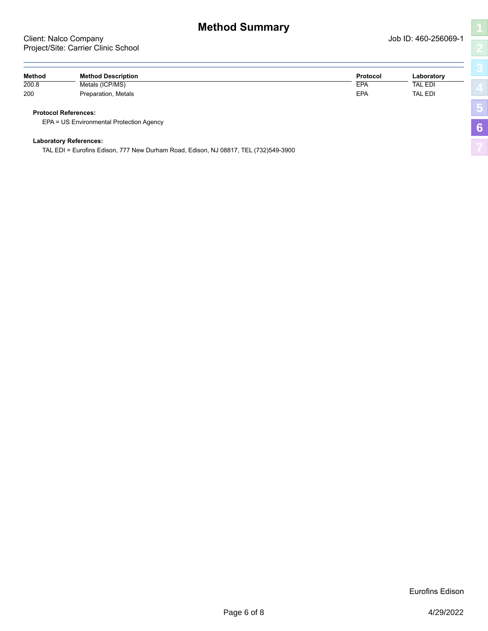| ŧ |  |
|---|--|
|   |  |
|   |  |
|   |  |
|   |  |
|   |  |

<span id="page-5-0"></span>

| Method | <b>Method Description</b>                | Protocol | Laboratory     |  |
|--------|------------------------------------------|----------|----------------|--|
| 200.8  | Metals (ICP/MS)                          | EPA      | TAL EDI        |  |
| 200    | Preparation, Metals                      | EPA      | <b>TAL EDI</b> |  |
|        | <b>Protocol References:</b>              |          |                |  |
|        | EPA = US Environmental Protection Agency |          |                |  |
|        | <b>Laboratory References:</b>            |          |                |  |

TAL EDI = Eurofins Edison, 777 New Durham Road, Edison, NJ 08817, TEL (732)549-3900

Eurofins Edison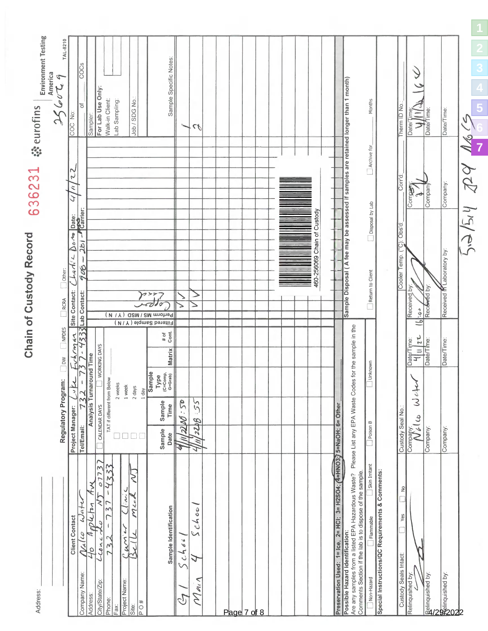<span id="page-6-0"></span>

| Address:                                                                                                                                          |                                                                                                                                   |                                                                        | Chain of Custody Record                                                                | 636231                         | <b>Environment Testing</b><br><b>Weurofins</b> |  |
|---------------------------------------------------------------------------------------------------------------------------------------------------|-----------------------------------------------------------------------------------------------------------------------------------|------------------------------------------------------------------------|----------------------------------------------------------------------------------------|--------------------------------|------------------------------------------------|--|
|                                                                                                                                                   | Regulatory Program:                                                                                                               | $\Box$ NPDES<br>$\Box$                                                 | $\Box$ Other:<br>$\Box$ RCRA                                                           |                                | TAL-8210<br>America<br>q<br>2662               |  |
| <b>Client Contact</b>                                                                                                                             | 7<br>$\tilde{L}$<br>Project Manager:                                                                                              | 244<br>$\check{\checkmark}$                                            | 0.42<br>hadie<br>Site Contact:                                                         | Z<br>$\tilde{\mathbf{z}}$<br>J | COC No:                                        |  |
| Wate<br>$\eta_{\acute{\alpha}}/\omega$<br>Company Name:                                                                                           | 32<br>Tel/Email:                                                                                                                  | 333<br>J                                                               | Date:<br><b>Carrier:</b><br>2b1<br>906<br>Lab Contact:                                 |                                | COCS<br>৳                                      |  |
| 07737<br>$\widetilde{\mathcal{X}}$<br>≷<br>D4D4<br>4<br>$L_{\text{Coul}}$<br>O<br>City/State/Zip:<br>Address:                                     | around Time<br>Analysis Turn<br>CALENDAR DAYS                                                                                     | WORKING DAYS                                                           |                                                                                        |                                | For Lab Use Only<br>Sampler:                   |  |
| $\frac{1}{2}$<br>J<br>$\overline{\phantom{a}}$<br>$\infty$<br>73<br>Phone:<br>Fax                                                                 | TAT if different from Below<br>2 weeks                                                                                            |                                                                        |                                                                                        |                                | Walk-in Client:<br>Lab Sampling:               |  |
| J<br>$\overline{\mathcal{M}}$<br>$\mu$ m<br>Project Name:<br>Site:                                                                                | 1 week                                                                                                                            |                                                                        |                                                                                        |                                |                                                |  |
| ζ<br>Mich<br>$\frac{40}{\sqrt{2}}$                                                                                                                | 2 days<br>$1$ day                                                                                                                 |                                                                        |                                                                                        |                                | Job / SDG No.                                  |  |
| Sample Identification                                                                                                                             | Sample<br>$\begin{array}{c} \mathsf{Type} \\ \text{(c=Comp,}\\ \mathsf{G=Graph)} \end{array}$<br>Sample<br>Time<br>Sample<br>Date | $\frac{\# of}{\text{Cont.}}$<br>Matrix                                 | Perform MS / MSD ( V / N )<br>Filtered Sample (Y/N)                                    |                                | Sample Specific Notes:                         |  |
| $3ch\acute{\circ}$<br>$\epsilon_L$                                                                                                                | 2200.50<br>Z,<br>J                                                                                                                |                                                                        |                                                                                        |                                |                                                |  |
| choo<br>$\sim$<br>J<br>$n_{1}$<br>Ź                                                                                                               | 55<br>2258<br>71<br>J                                                                                                             |                                                                        | ⇒                                                                                      |                                | $\mathcal{L}_{\ell}$                           |  |
|                                                                                                                                                   |                                                                                                                                   |                                                                        |                                                                                        |                                |                                                |  |
|                                                                                                                                                   |                                                                                                                                   |                                                                        |                                                                                        |                                |                                                |  |
| Page 7 of 8                                                                                                                                       |                                                                                                                                   |                                                                        |                                                                                        |                                |                                                |  |
|                                                                                                                                                   |                                                                                                                                   |                                                                        |                                                                                        |                                |                                                |  |
|                                                                                                                                                   |                                                                                                                                   |                                                                        |                                                                                        |                                |                                                |  |
|                                                                                                                                                   |                                                                                                                                   |                                                                        |                                                                                        |                                |                                                |  |
|                                                                                                                                                   |                                                                                                                                   |                                                                        |                                                                                        |                                |                                                |  |
|                                                                                                                                                   |                                                                                                                                   |                                                                        |                                                                                        |                                |                                                |  |
|                                                                                                                                                   |                                                                                                                                   |                                                                        | 460-256069 Chain of Custody                                                            |                                |                                                |  |
|                                                                                                                                                   |                                                                                                                                   |                                                                        |                                                                                        |                                |                                                |  |
| Preservation Used: 1= Ice, 2= HCI; 3= H2SO4; (4=HNO3;) 5=NaOH; 6= Other                                                                           |                                                                                                                                   |                                                                        |                                                                                        |                                |                                                |  |
| Are any samples from a listed EPA Hazardous Waste?<br>Comments Section if the lab is to dispose of the sample.<br>Possible Hazard Identification: | Please List any EPA Waste Codes for the sample in the                                                                             |                                                                        | Sample Disposal (A fee may be assessed if samples are retained longer than 1 month)    |                                |                                                |  |
| Skin Irritant<br>Flammable<br>Non-Hazard                                                                                                          | Poison B                                                                                                                          | Unknown                                                                | Disposal by Lab<br>$\fbox{\parbox{1.5cm} {\bf Return}} \hbox{\footnotesize to Client}$ | Archive for                    | Months                                         |  |
| Special Instructions/QC Requirements & Comments:                                                                                                  |                                                                                                                                   |                                                                        |                                                                                        |                                |                                                |  |
| $\frac{1}{2}$<br>Yes<br>Custody Seals Intact:                                                                                                     | Custody Seal No.                                                                                                                  |                                                                        | $)$ : Obs'd<br>ြ<br>Temp.<br>Cooler                                                    | Corrid                         | Therm ID No                                    |  |
| Relinquished by:                                                                                                                                  | $\frac{1}{3}$<br>Company:<br>Nello                                                                                                | $\frac{1}{2}$<br>Date/Time:<br>$\frac{1}{4}$ $\frac{1}{7}$<br>$\equiv$ | Received by<br>3.63<br>$\equiv$                                                        | <b>Ledwoo</b>                  | Date/T<br>⊃                                    |  |
| Relinquished by:                                                                                                                                  | Company:                                                                                                                          | Date/Time:                                                             | Received by:                                                                           | Company                        | Date/Time:                                     |  |
| industrial by:<br>129<br>2020                                                                                                                     | Company:                                                                                                                          | Date/Time:                                                             | Received M Laboratory by:                                                              | Company:                       | Date/Time:                                     |  |
|                                                                                                                                                   |                                                                                                                                   |                                                                        | 1244<br>$\sum_{i=1}^{n}$                                                               | $Z^2$                          | V,<br>$\frac{1}{2}$                            |  |
|                                                                                                                                                   |                                                                                                                                   |                                                                        |                                                                                        |                                |                                                |  |

**[5](#page-4-0)**

**[7](#page-6-0)**